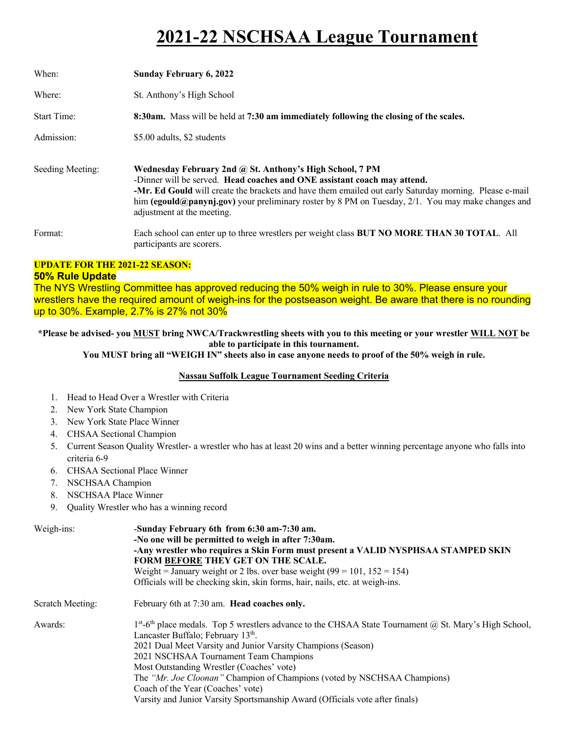# **2021-22 NSCHSAA League Tournament**

| When:              | <b>Sunday February 6, 2022</b>                                                                                                                                                                                                                                                                                                                                                    |
|--------------------|-----------------------------------------------------------------------------------------------------------------------------------------------------------------------------------------------------------------------------------------------------------------------------------------------------------------------------------------------------------------------------------|
| Where:             | St. Anthony's High School                                                                                                                                                                                                                                                                                                                                                         |
| <b>Start Time:</b> | 8:30am. Mass will be held at 7:30 am immediately following the closing of the scales.                                                                                                                                                                                                                                                                                             |
| Admission:         | \$5.00 adults, \$2 students                                                                                                                                                                                                                                                                                                                                                       |
| Seeding Meeting:   | Wednesday February 2nd @ St. Anthony's High School, 7 PM<br>-Dinner will be served. Head coaches and ONE assistant coach may attend.<br>-Mr. Ed Gould will create the brackets and have them emailed out early Saturday morning. Please e-mail<br>him (egould@panynj.gov) your preliminary roster by 8 PM on Tuesday, 2/1. You may make changes and<br>adjustment at the meeting. |
| Format:            | Each school can enter up to three wrestlers per weight class BUT NO MORE THAN 30 TOTAL. All<br>participants are scorers.                                                                                                                                                                                                                                                          |

## **UPDATE FOR THE 2021-22 SEASON:**

#### **50% Rule Update**

The NYS Wrestling Committee has approved reducing the 50% weigh in rule to 30%. Please ensure your wrestlers have the required amount of weigh-ins for the postseason weight. Be aware that there is no rounding up to 30%. Example, 2.7% is 27% not 30%

### **\*Please be advised- you MUST bring NWCA/Trackwrestling sheets with you to this meeting or your wrestler WILL NOT be able to participate in this tournament.**

**You MUST bring all "WEIGH IN" sheets also in case anyone needs to proof of the 50% weigh in rule.**

#### **Nassau Suffolk League Tournament Seeding Criteria**

- 1. Head to Head Over a Wrestler with Criteria
- 2. New York State Champion
- 3. New York State Place Winner
- 4. CHSAA Sectional Champion
- 5. Current Season Quality Wrestler- a wrestler who has at least 20 wins and a better winning percentage anyone who falls into criteria 6-9
- 6. CHSAA Sectional Place Winner
- 7. NSCHSAA Champion
- 8. NSCHSAA Place Winner
- 9. Quality Wrestler who has a winning record

| Weigh-ins:              | -Sunday February 6th from 6:30 am-7:30 am.<br>-No one will be permitted to weigh in after 7:30am.<br>-Any wrestler who requires a Skin Form must present a VALID NYSPHSAA STAMPED SKIN<br>FORM BEFORE THEY GET ON THE SCALE.<br>Weight = January weight or 2 lbs. over base weight $(99 = 101, 152 = 154)$<br>Officials will be checking skin, skin forms, hair, nails, etc. at weigh-ins.                                                                                                                                                |
|-------------------------|-------------------------------------------------------------------------------------------------------------------------------------------------------------------------------------------------------------------------------------------------------------------------------------------------------------------------------------------------------------------------------------------------------------------------------------------------------------------------------------------------------------------------------------------|
| <b>Scratch Meeting:</b> | February 6th at 7:30 am. Head coaches only.                                                                                                                                                                                                                                                                                                                                                                                                                                                                                               |
| Awards:                 | $1st$ -6 <sup>th</sup> place medals. Top 5 wrestlers advance to the CHSAA State Tournament ( $\alpha$ ) St. Mary's High School,<br>Lancaster Buffalo; February 13 <sup>th</sup> .<br>2021 Dual Meet Varsity and Junior Varsity Champions (Season)<br>2021 NSCHSAA Tournament Team Champions<br>Most Outstanding Wrestler (Coaches' vote)<br>The "Mr. Joe Cloonan" Champion of Champions (voted by NSCHSAA Champions)<br>Coach of the Year (Coaches' vote)<br>Varsity and Junior Varsity Sportsmanship Award (Officials vote after finals) |